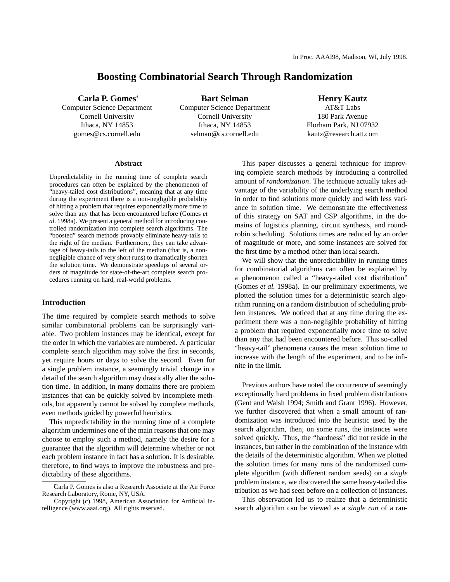# **Boosting Combinatorial Search Through Randomization**

**Carla P. Gomes**

Computer Science Department Cornell University Ithaca, NY 14853 gomes@cs.cornell.edu

**Bart Selman** Computer Science Department Cornell University Ithaca, NY 14853 selman@cs.cornell.edu

## **Henry Kautz**

AT&T Labs 180 Park Avenue Florham Park, NJ 07932 kautz@research.att.com

#### **Abstract**

Unpredictability in the running time of complete search procedures can often be explained by the phenomenon of "heavy-tailed cost distributions", meaning that at any time during the experiment there is a non-negligible probability of hitting a problem that requires exponentially more time to solve than any that has been encountered before (Gomes *et al.* 1998a). We present a general method for introducing controlled randomization into complete search algorithms. The "boosted" search methods provably eliminate heavy-tails to the right of the median. Furthermore, they can take advantage of heavy-tails to the left of the median (that is, a nonnegligible chance of very short runs) to dramatically shorten the solution time. We demonstrate speedups of several orders of magnitude for state-of-the-art complete search procedures running on hard, real-world problems.

## **Introduction**

The time required by complete search methods to solve similar combinatorial problems can be surprisingly variable. Two problem instances may be identical, except for the order in which the variables are numbered. A particular complete search algorithm may solve the first in seconds, yet require hours or days to solve the second. Even for a single problem instance, a seemingly trivial change in a detail of the search algorithm may drastically alter the solution time. In addition, in many domains there are problem instances that can be quickly solved by incomplete methods, but apparently cannot be solved by complete methods, even methods guided by powerful heuristics.

This unpredictability in the running time of a complete algorithm undermines one of the main reasons that one may choose to employ such a method, namely the desire for a guarantee that the algorithm will determine whether or not each problem instance in fact has a solution. It is desirable, therefore, to find ways to improve the robustness and predictability of these algorithms.

This paper discusses a general technique for improving complete search methods by introducing a controlled amount of *randomization*. The technique actually takes advantage of the variability of the underlying search method in order to find solutions more quickly and with less variance in solution time. We demonstrate the effectiveness of this strategy on SAT and CSP algorithms, in the domains of logistics planning, circuit synthesis, and roundrobin scheduling. Solutions times are reduced by an order of magnitude or more, and some instances are solved for the first time by a method other than local search.

We will show that the unpredictability in running times for combinatorial algorithms can often be explained by a phenomenon called a "heavy-tailed cost distribution" (Gomes *et al.* 1998a). In our preliminary experiments, we plotted the solution times for a deterministic search algorithm running on a random distribution of scheduling problem instances. We noticed that at any time during the experiment there was a non-negligible probability of hitting a problem that required exponentially more time to solve than any that had been encountered before. This so-called "heavy-tail" phenomena causes the mean solution time to increase with the length of the experiment, and to be infinite in the limit.

Previous authors have noted the occurrence of seemingly exceptionally hard problems in fixed problem distributions (Gent and Walsh 1994; Smith and Grant 1996). However, we further discovered that when a small amount of randomization was introduced into the heuristic used by the search algorithm, then, on some runs, the instances were solved quickly. Thus, the "hardness" did not reside in the instances, but rather in the combination of the instance with the details of the deterministic algorithm. When we plotted the solution times for many runs of the randomized complete algorithm (with different random seeds) on a *single* problem instance, we discovered the same heavy-tailed distribution as we had seen before on a collection of instances.

This observation led us to realize that a deterministic search algorithm can be viewed as a *single run* of a ran-

Carla P. Gomes is also a Research Associate at the Air Force Research Laboratory, Rome, NY, USA.

Copyright (c) 1998, American Association for Artificial Intelligence (www.aaai.org). All rights reserved.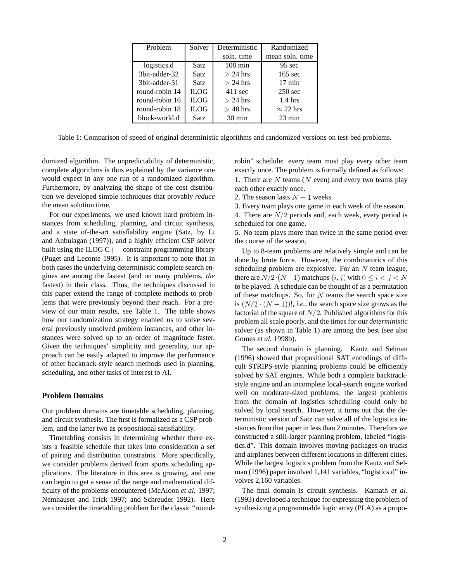| Problem        | Solver      | Deterministic     | Randomized        |
|----------------|-------------|-------------------|-------------------|
|                |             | soln. time        | mean soln, time   |
| logistics.d    | Satz.       | $108 \text{ min}$ | $95 \text{ sec}$  |
| 3bit-adder-32  | Satz.       | $> 24$ hrs        | $165 \text{ sec}$ |
| 3bit-adder-31  | Satz.       | $>$ 24 hrs        | $17 \text{ min}$  |
| round-robin 14 | <b>ILOG</b> | $411 \text{ sec}$ | $250 \text{ sec}$ |
| round-robin 16 | <b>ILOG</b> | $>$ 24 hrs        | $1.4 \text{ hrs}$ |
| round-robin 18 | <b>ILOG</b> | $>$ 48 hrs        | $\approx$ 22 hrs  |
| block-world.d  | Satz        | $30 \text{ min}$  | $23 \text{ min}$  |

Table 1: Comparison of speed of original deterministic algorithms and randomized versions on test-bed problems.

domized algorithm. The unpredictability of deterministic, complete algorithms is thus explained by the variance one would expect in any one run of a randomized algorithm. Furthermore, by analyzing the shape of the cost distribution we developed simple techniques that provably *reduce* the mean solution time.

For our experiments, we used known hard problem instances from scheduling, planning, and circuit synthesis, and a state of-the-art satisfiability engine (Satz, by Li and Anbulagan (1997)), and a highly efficient CSP solver built using the ILOG  $C++$  constraint programming library (Puget and Leconte 1995). It is important to note that in both cases the underlying deterministic complete search engines are among the fastest (and on many problems, *the* fastest) in their class. Thus, the techniques discussed in this paper extend the range of complete methods to problems that were previously beyond their reach. For a preview of our main results, see Table 1. The table shows how our randomization strategy enabled us to solve several previously unsolved problem instances, and other instances were solved up to an order of magnitude faster. Given the techniques' simplicity and generality, our approach can be easily adapted to improve the performance of other backtrack-style search methods used in planning, scheduling, and other tasks of interest to AI.

## **Problem Domains**

Our problem domains are timetable scheduling, planning, and circuit synthesis. The first is formalized as a CSP problem, and the latter two as propositional satisfiability.

Timetabling consists in determining whether there exists a feasible schedule that takes into consideration a set of pairing and distribution constraints. More specifically, we consider problems derived from sports scheduling applications. The literature in this area is growing, and one can begin to get a sense of the range and mathematical difficulty of the problems encountered (McAloon *et al.* 1997; Nemhauser and Trick 1997; and Schreuder 1992). Here we consider the timetabling problem for the classic "roundrobin" schedule: every team must play every other team exactly once. The problem is formally defined as follows:

1. There are  $N$  teams ( $N$  even) and every two teams play each other exactly once.

2. The season lasts  $N-1$  weeks.

3. Every team plays one game in each week of the season.

4. There are  $N/2$  periods and, each week, every period is scheduled for one game.

5. No team plays more than twice in the same period over the course of the season.

Up to 8-team problems are relatively simple and can be done by brute force. However, the combinatorics of this scheduling problem are explosive. For an  $N$  team league, there are  $N/2 \cdot (N-1)$  matchups  $(i, j)$  with  $0 \le i < j < N$ to be played. A schedule can be thought of as a permutation of these matchups. So, for  $N$  teams the search space size is  $(N/2 \cdot (N-1))!$ , *i.e.*, the search space size grows as the factorial of the square of  $N/2$ . Published algorithms for this problem all scale poorly, and the times for our *deterministic* solver (as shown in Table 1) are among the best (see also Gomes *et al.* 1998b).

The second domain is planning. Kautz and Selman (1996) showed that propositional SAT encodings of difficult STRIPS-style planning problems could be efficiently solved by SAT engines. While both a complete backtrackstyle engine and an incomplete local-search engine worked well on moderate-sized problems, the largest problems from the domain of logistics scheduling could only be solved by local search. However, it turns out that the deterministic version of Satz can solve all of the logistics instances from that paper in less than 2 minutes. Therefore we constructed a still-larger planning problem, labeled "logistics.d". This domain involves moving packages on trucks and airplanes between different locations in different cities. While the largest logistics problem from the Kautz and Selman (1996) paper involved 1,141 variables, "logistics.d" involves 2,160 variables.

The final domain is circuit synthesis. Kamath *et al.* (1993) developed a technique for expressing the problem of synthesizing a programmable logic array (PLA) as a propo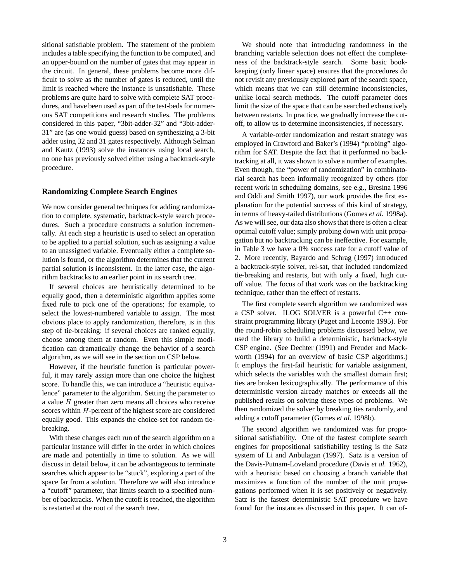sitional satisfiable problem. The statement of the problem includes a table specifying the function to be computed, and an upper-bound on the number of gates that may appear in the circuit. In general, these problems become more difficult to solve as the number of gates is reduced, until the limit is reached where the instance is unsatisfiable. These problems are quite hard to solve with complete SAT procedures, and have been used as part of the test-beds for numerous SAT competitions and research studies. The problems considered in this paper, "3bit-adder-32" and "3bit-adder-31" are (as one would guess) based on synthesizing a 3-bit adder using 32 and 31 gates respectively. Although Selman and Kautz (1993) solve the instances using local search, no one has previously solved either using a backtrack-style procedure.

## **Randomizing Complete Search Engines**

We now consider general techniques for adding randomization to complete, systematic, backtrack-style search procedures. Such a procedure constructs a solution incrementally. At each step a heuristic is used to select an operation to be applied to a partial solution, such as assigning a value to an unassigned variable. Eventually either a complete solution is found, or the algorithm determines that the current partial solution is inconsistent. In the latter case, the algorithm backtracks to an earlier point in its search tree.

If several choices are heuristically determined to be equally good, then a deterministic algorithm applies some fixed rule to pick one of the operations; for example, to select the lowest-numbered variable to assign. The most obvious place to apply randomization, therefore, is in this step of tie-breaking: if several choices are ranked equally, choose among them at random. Even this simple modification can dramatically change the behavior of a search algorithm, as we will see in the section on CSP below.

However, if the heuristic function is particular powerful, it may rarely assign more than one choice the highest score. To handle this, we can introduce a "heuristic equivalence" parameter to the algorithm. Setting the parameter to a value  $H$  greater than zero means all choices who receive scores within  $H$ -percent of the highest score are considered equally good. This expands the choice-set for random tiebreaking.

With these changes each run of the search algorithm on a particular instance will differ in the order in which choices are made and potentially in time to solution. As we will discuss in detail below, it can be advantageous to terminate searches which appear to be "stuck", exploring a part of the space far from a solution. Therefore we will also introduce a "cutoff" parameter, that limits search to a specified number of backtracks. When the cutoff is reached, the algorithm is restarted at the root of the search tree.

We should note that introducing randomness in the branching variable selection does not effect the completeness of the backtrack-style search. Some basic bookkeeping (only linear space) ensures that the procedures do not revisit any previously explored part of the search space, which means that we can still determine inconsistencies, unlike local search methods. The cutoff parameter does limit the size of the space that can be searched exhaustively between restarts. In practice, we gradually increase the cutoff, to allow us to determine inconsistencies, if necessary.

A variable-order randomization and restart strategy was employed in Crawford and Baker's (1994) "probing" algorithm for SAT. Despite the fact that it performed no backtracking at all, it was shown to solve a number of examples. Even though, the "power of randomization" in combinatorial search has been informally recognized by others (for recent work in scheduling domains, see e.g., Bresina 1996 and Oddi and Smith 1997), our work provides the first explanation for the potential success of this kind of strategy, in terms of heavy-tailed distributions (Gomes *et al.* 1998a). As we will see, our data also showsthat there is often a clear optimal cutoff value; simply probing down with unit propagation but no backtracking can be ineffective. For example, in Table 3 we have a 0% success rate for a cutoff value of 2. More recently, Bayardo and Schrag (1997) introduced a backtrack-style solver, rel-sat, that included randomized tie-breaking and restarts, but with only a fixed, high cutoff value. The focus of that work was on the backtracking technique, rather than the effect of restarts.

The first complete search algorithm we randomized was a CSP solver. ILOG SOLVER is a powerful C++ constraint programming library (Puget and Leconte 1995). For the round-robin scheduling problems discussed below, we used the library to build a deterministic, backtrack-style CSP engine. (See Dechter (1991) and Freuder and Mackworth (1994) for an overview of basic CSP algorithms.) It employs the first-fail heuristic for variable assignment, which selects the variables with the smallest domain first; ties are broken lexicographically. The performance of this deterministic version already matches or exceeds all the published results on solving these types of problems. We then randomized the solver by breaking ties randomly, and adding a cutoff parameter (Gomes *et al.* 1998b).

The second algorithm we randomized was for propositional satisfiability. One of the fastest complete search engines for propositional satisfiability testing is the Satz system of Li and Anbulagan (1997). Satz is a version of the Davis-Putnam-Loveland procedure (Davis *et al.* 1962), with a heuristic based on choosing a branch variable that maximizes a function of the number of the unit propagations performed when it is set positively or negatively. Satz is the fastest deterministic SAT procedure we have found for the instances discussed in this paper. It can of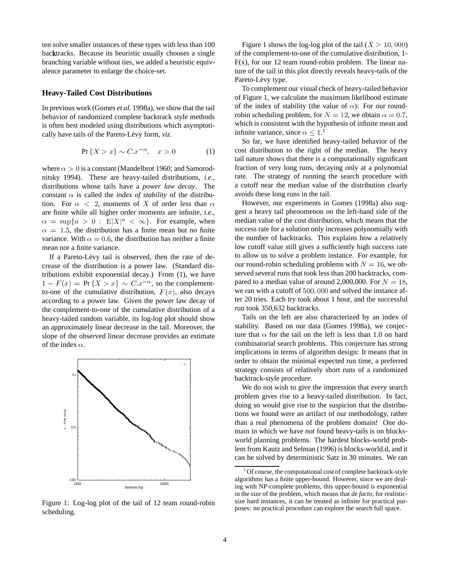ten solve smaller instances of these types with less than 100 backtracks. Because its heuristic usually chooses a single branching variable without ties, we added a heuristic equivalence parameter to enlarge the choice-set.

## **Heavy-Tailed Cost Distributions**

In previous work (Gomes *et al.* 1998a), we show that the tail behavior of randomized complete backtrack style methods is often best modeled using distributions which asymptotically have tails of the Pareto-Lévy form, *viz.* 

$$
\Pr\{X > x\} \sim C \cdot x^{-\alpha}, \quad x > 0 \tag{1}
$$

where  $\alpha > 0$  is a constant (Mandelbrot 1960; and Samorodnitsky 1994). These are heavy-tailed distributions, *i.e.*, distributions whose tails have a *power law decay*. The constant  $\alpha$  is called the *index of stability* of the distribution. For  $\alpha \leq 2$ , moments of X of order less than  $\alpha$ are finite while all higher order moments are infinite, *i.e.*,  $\alpha = \sup\{a > 0 : E|X|^a < \infty\}$ . For example, when  $\alpha = 1.5$ , the distribution has a finite mean but no finite variance. With  $\alpha = 0.6$ , the distribution has neither a finite mean nor a finite variance.

If a Pareto-Lévy tail is observed, then the rate of decrease of the distribution is a power law. (Standard distributions exhibit exponential decay.) From (1), we have  $1 - F(x) = Pr\{X > x\} \sim C.x^{-\alpha}$ , so the complementto-one of the cumulative distribution,  $F(x)$ , also decays according to a power law. Given the power law decay of the complement-to-one of the cumulative distribution of a heavy-tailed random variable, its log-log plot should show an approximately linear decrease in the tail. Moreover, the slope of the observed linear decrease provides an estimate of the index  $\alpha$ .



Figure 1: Log-log plot of the tail of 12 team round-robin scheduling.

Figure 1 shows the log-log plot of the tail  $(X > 10,000)$ of the complement-to-one of the cumulative distribution, 1-  $F(x)$ , for our 12 team round-robin problem. The linear nature of the tail in this plot directly reveals heavy-tails of the Pareto-Lévy type.

To complement our visual check of heavy-tailed behavior of Figure 1, we calculate the maximum likelihood estimate of the index of stability (the value of  $\alpha$ ): For our roundrobin scheduling problem, for  $N = 12$ , we obtain  $\alpha = 0.7$ , which is consistent with the hypothesis of infinite mean and infinite variance, since  $\alpha$  < 1.<sup>1</sup>

So far, we have identified heavy-tailed behavior of the cost distribution to the right of the median. The heavy tail nature shows that there is a computationally significant fraction of very long runs, decaying only at a polynomial rate. The strategy of running the search procedure with a cutoff near the median value of the distribution clearly avoids these long runs in the tail.

However, our experiments in Gomes (1998a) also suggest a heavy tail phenomenon on the left-hand side of the median value of the cost distribution, which means that the success rate for a solution only increases polynomially with the number of backtracks. This explains how a relatively low cutoff value still gives a sufficiently high success rate to allow us to solve a problem instance. For example, for our round-robin scheduling problems with  $N = 16$ , we observed several runs that took less than 200 backtracks, compared to a median value of around 2,000,000. For  $N = 18$ , we ran with a cutoff of  $500,000$  and solved the instance after 20 tries. Each try took about 1 hour, and the successful run took 350,632 backtracks.

Tails on the left are also characterized by an index of stability. Based on our data (Gomes 1998a), we conjecture that  $\alpha$  for the tail on the left is less than 1.0 on hard combinatorial search problems. This conjecture has strong implications in terms of algorithm design: It means that in order to obtain the minimal expected run time, a preferred strategy consists of relatively short runs of a randomized backtrack-style procedure.

We do not wish to give the impression that *every* search problem gives rise to a heavy-tailed distribution. In fact, doing so would give rise to the suspicion that the distributions we found were an artifact of our methodology, rather than a real phenomena of the problem domain! One domain in which we have *not* found heavy-tails is on blocksworld planning problems. The hardest blocks-world problem from Kautz and Selman (1996) is blocks-world.d, and it can be solved by deterministic Satz in 30 minutes. We ran

 ${}^{1}$ Of course, the computational cost of complete backtrack-style algorithms has a finite upper-bound. However, since we are dealing with NP-complete problems, this upper-bound is exponential in the size of the problem, which means that *de facto*, for realisticsize hard instances, it can be treated as infinite for practical purposes: no practical procedure can explore the search full space.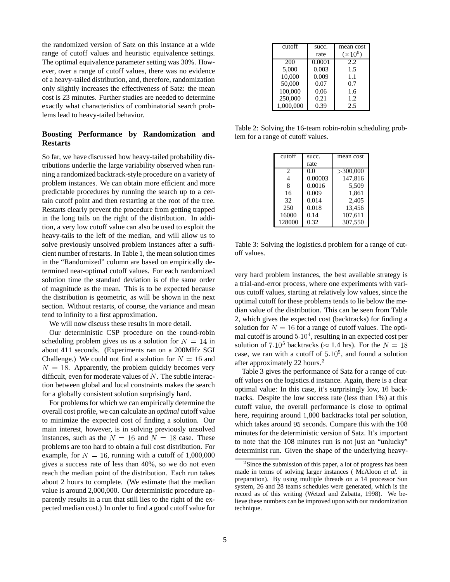the randomized version of Satz on this instance at a wide range of cutoff values and heuristic equivalence settings. The optimal equivalence parameter setting was 30%. However, over a range of cutoff values, there was no evidence of a heavy-tailed distribution, and, therefore, randomization only slightly increases the effectiveness of Satz: the mean cost is 23 minutes. Further studies are needed to determine exactly what characteristics of combinatorial search problems lead to heavy-tailed behavior.

## **Boosting Performance by Randomization and Restarts**

So far, we have discussed how heavy-tailed probability distributions underlie the large variability observed when running a randomized backtrack-style procedure on a variety of problem instances. We can obtain more efficient and more predictable procedures by running the search up to a certain cutoff point and then restarting at the root of the tree. Restarts clearly prevent the procedure from getting trapped in the long tails on the right of the distribution. In addition, a very low cutoff value can also be used to exploit the heavy-tails to the left of the median, and will allow us to solve previously unsolved problem instances after a sufficient number of restarts. In Table 1, the mean solution times in the "Randomized" column are based on empirically determined near-optimal cutoff values. For each randomized solution time the standard deviation is of the same order of magnitude as the mean. This is to be expected because the distribution is geometric, as will be shown in the next section. Without restarts, of course, the variance and mean tend to infinity to a first approximation.

We will now discuss these results in more detail.

Our deterministic CSP procedure on the round-robin scheduling problem gives us us a solution for  $N=14$  in about 411 seconds. (Experiments ran on a 200MHz SGI Challenge.) We could not find a solution for  $N=16$  and  $N = 18$ . Apparently, the problem quickly becomes very difficult, even for moderate values of  $N$ . The subtle interaction between global and local constraints makes the search for a globally consistent solution surprisingly hard.

For problems for which we can empirically determine the overall cost profile, we can calculate an *optimal* cutoff value to minimize the expected cost of finding a solution. Our main interest, however, is in solving previously unsolved instances, such as the  $N = 16$  and  $N = 18$  case. These problems are too hard to obtain a full cost distribution. For example, for  $N = 16$ , running with a cutoff of 1,000,000 gives a success rate of less than 40%, so we do not even reach the median point of the distribution. Each run takes about 2 hours to complete. (We estimate that the median value is around 2,000,000. Our deterministic procedure apparently results in a run that still lies to the right of the expected median cost.) In order to find a good cutoff value for

| cutoff    | succ.  | mean cost       |  |
|-----------|--------|-----------------|--|
|           | rate   | $(\times 10^6)$ |  |
| 200       | 0.0001 | 2.2.            |  |
| 5,000     | 0.003  | 1.5             |  |
| 10.000    | 0.009  | 1.1             |  |
| 50,000    | 0.07   | 0.7             |  |
| 100,000   | 0.06   | 1.6             |  |
| 250,000   | 0.21   | 1.2             |  |
| 1.000.000 | 0.39   | 2.5             |  |

Table 2: Solving the 16-team robin-robin scheduling problem for a range of cutoff values.

| cutoff         | succ.   | mean cost |
|----------------|---------|-----------|
|                | rate    |           |
| $\mathfrak{D}$ | 0.0     | >300,000  |
| 4              | 0.00003 | 147.816   |
| 8              | 0.0016  | 5,509     |
| 16             | 0.009   | 1.861     |
| 32             | 0.014   | 2,405     |
| 250            | 0.018   | 13,456    |
| 16000          | 0.14    | 107,611   |
| 128000         | 0.32    | 307.550   |

Table 3: Solving the logistics.d problem for a range of cutoff values.

very hard problem instances, the best available strategy is a trial-and-error process, where one experiments with various cutoff values, starting at relatively low values, since the optimal cutoff for these problems tends to lie below the median value of the distribution. This can be seen from Table 2, which gives the expected cost (backtracks) for finding a solution for  $N = 16$  for a range of cutoff values. The optimal cutoff is around  $5.10<sup>4</sup>$ , resulting in an expected cost per solution of  $7.10^5$  backtracks ( $\approx 1.4$  hrs). For the  $N=18$ case, we ran with a cutoff of  $5.10^5$ , and found a solution after approximately 22 hours. $<sup>2</sup>$ </sup>

Table 3 gives the performance of Satz for a range of cutoff values on the logistics.d instance. Again, there is a clear optimal value: In this case, it's surprisingly low, 16 backtracks. Despite the low success rate (less than 1%) at this cutoff value, the overall performance is close to optimal here, requiring around 1,800 backtracks total per solution, which takes around 95 seconds. Compare this with the 108 minutes for the deterministic version of Satz. It's important to note that the 108 minutes run is not just an "unlucky" determinist run. Given the shape of the underlying heavy-

 $2$ Since the submission of this paper, a lot of progress has been made in terms of solving larger instances ( McAloon *et al.* in preparation). By using multiple threads on a 14 processor Sun system, 26 and 28 teams schedules were generated, which is the record as of this writing (Wetzel and Zabatta, 1998). We believe these numbers can be improved upon with our randomization technique.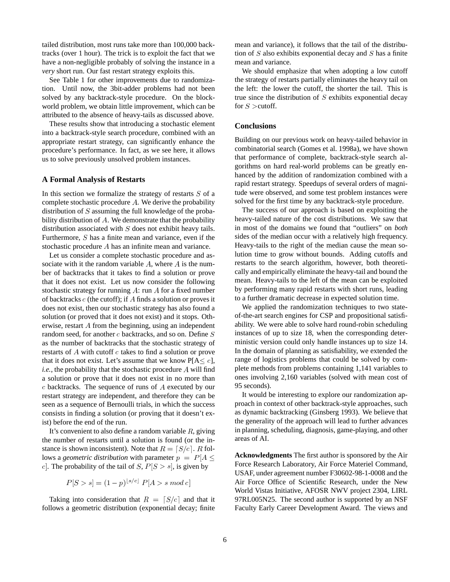tailed distribution, most runs take more than 100,000 backtracks (over 1 hour). The trick is to exploit the fact that we have a non-negligible probably of solving the instance in a *very* short run. Our fast restart strategy exploits this.

See Table 1 for other improvements due to randomization. Until now, the 3bit-adder problems had not been solved by any backtrack-style procedure. On the blockworld problem, we obtain little improvement, which can be attributed to the absence of heavy-tails as discussed above.

These results show that introducing a stochastic element into a backtrack-style search procedure, combined with an appropriate restart strategy, can significantly enhance the procedure's performance. In fact, as we see here, it allows us to solve previously unsolved problem instances.

#### **A Formal Analysis of Restarts**

In this section we formalize the strategy of restarts  $S$  of a complete stochastic procedure  $A$ . We derive the probability distribution of  $S$  assuming the full knowledge of the probability distribution of  $A$ . We demonstrate that the probability distribution associated with  $S$  does not exhibit heavy tails. Furthermore,  $S$  has a finite mean and variance, even if the stochastic procedure  $A$  has an infinite mean and variance.

Let us consider a complete stochastic procedure and associate with it the random variable  $A$ , where  $A$  is the number of backtracks that it takes to find a solution or prove that it does not exist. Let us now consider the following stochastic strategy for running  $A$ : run  $A$  for a fixed number of backtracks  $c$  (the cutoff); if  $A$  finds a solution or proves it does not exist, then our stochastic strategy has also found a solution (or proved that it does not exist) and it stops. Otherwise, restart  $\vec{A}$  from the beginning, using an independent random seed, for another  $c$  backtracks, and so on. Define  $S$ as the number of backtracks that the stochastic strategy of restarts of  $A$  with cutoff  $c$  takes to find a solution or prove that it does not exist. Let's assume that we know  $P[A \leq c]$ ,  $i.e.,$  the probability that the stochastic procedure  $A$  will find a solution or prove that it does not exist in no more than  $c$  backtracks. The sequence of runs of  $A$  executed by our restart strategy are independent, and therefore they can be seen as a sequence of Bernoulli trials, in which the success consists in finding a solution (or proving that it doesn't exist) before the end of the run.

It's convenient to also define a random variable  $R$ , giving the number of restarts until a solution is found (or the instance is shown inconsistent). Note that  $R = [S/c]$ . R follows a *geometric distribution* with parameter  $p = P[A \leq$ c. The probability of the tail of  $S, P[S > s]$ , is given by

$$
P[S > s] = (1-p)^{\lfloor s/c \rfloor} P[A > s \bmod c]
$$

Taking into consideration that  $R = [S/c]$  and that it follows a geometric distribution (exponential decay; finite mean and variance), it follows that the tail of the distribution of  $S$  also exhibits exponential decay and  $S$  has a finite mean and variance.

We should emphasize that when adopting a low cutoff the strategy of restarts partially eliminates the heavy tail on the left: the lower the cutoff, the shorter the tail. This is true since the distribution of  $S$  exhibits exponential decay for  $S >$ cutoff.

#### **Conclusions**

Building on our previous work on heavy-tailed behavior in combinatorial search (Gomes et al. 1998a), we have shown that performance of complete, backtrack-style search algorithms on hard real-world problems can be greatly enhanced by the addition of randomization combined with a rapid restart strategy. Speedups of several orders of magnitude were observed, and some test problem instances were solved for the first time by any backtrack-style procedure.

The success of our approach is based on exploiting the heavy-tailed nature of the cost distributions. We saw that in most of the domains we found that "outliers" on *both* sides of the median occur with a relatively high frequency. Heavy-tails to the right of the median cause the mean solution time to grow without bounds. Adding cutoffs and restarts to the search algorithm, however, both theoretically and empirically eliminate the heavy-tail and bound the mean. Heavy-tails to the left of the mean can be exploited by performing many rapid restarts with short runs, leading to a further dramatic decrease in expected solution time.

We applied the randomization techniques to two stateof-the-art search engines for CSP and propositional satisfiability. We were able to solve hard round-robin scheduling instances of up to size 18, when the corresponding deterministic version could only handle instances up to size 14. In the domain of planning as satisfiability, we extended the range of logistics problems that could be solved by complete methods from problems containing 1,141 variables to ones involving 2,160 variables (solved with mean cost of 95 seconds).

It would be interesting to explore our randomization approach in context of other backtrack-style approaches, such as dynamic backtracking (Ginsberg 1993). We believe that the generality of the approach will lead to further advances in planning, scheduling, diagnosis, game-playing, and other areas of AI.

**Acknowledgments** The first author is sponsored by the Air Force Research Laboratory, Air Force Materiel Command, USAF, under agreement number F30602-98-1-0008 and the Air Force Office of Scientific Research, under the New World Vistas Initiative, AFOSR NWV project 2304, LIRL 97RL005N25. The second author is supported by an NSF Faculty Early Career Development Award. The views and